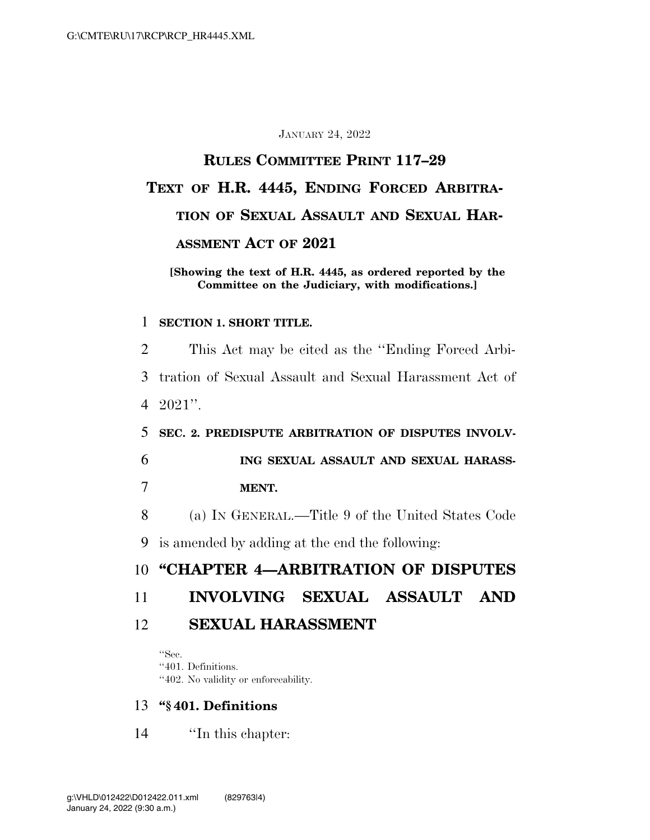#### JANUARY 24, 2022

# **RULES COMMITTEE PRINT 117–29 TEXT OF H.R. 4445, ENDING FORCED ARBITRA-TION OF SEXUAL ASSAULT AND SEXUAL HAR-ASSMENT ACT OF 2021**

#### **[Showing the text of H.R. 4445, as ordered reported by the Committee on the Judiciary, with modifications.]**

#### 1 **SECTION 1. SHORT TITLE.**

 This Act may be cited as the ''Ending Forced Arbi- tration of Sexual Assault and Sexual Harassment Act of 4 2021''. **SEC. 2. PREDISPUTE ARBITRATION OF DISPUTES INVOLV- ING SEXUAL ASSAULT AND SEXUAL HARASS-**7 **MENT.**  (a) IN GENERAL.—Title 9 of the United States Code is amended by adding at the end the following: **''CHAPTER 4—ARBITRATION OF DISPUTES INVOLVING SEXUAL ASSAULT AND SEXUAL HARASSMENT**  ''Sec.

''401. Definitions. ''402. No validity or enforceability.

13 **''§ 401. Definitions** 

14 ''In this chapter: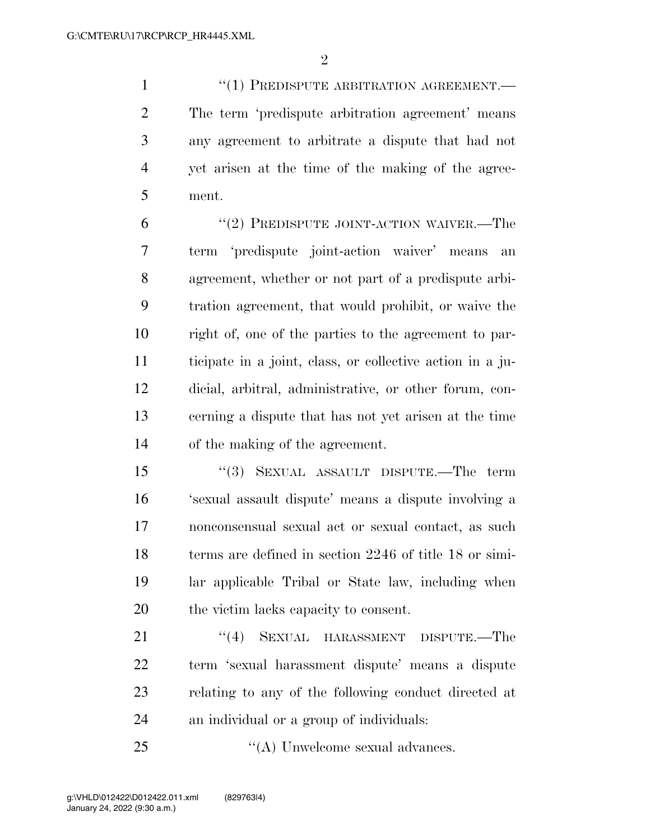$\mathfrak{D}$ 

 ''(1) PREDISPUTE ARBITRATION AGREEMENT.— The term 'predispute arbitration agreement' means any agreement to arbitrate a dispute that had not yet arisen at the time of the making of the agree-ment.

6 "(2) PREDISPUTE JOINT-ACTION WAIVER.—The term 'predispute joint-action waiver' means an agreement, whether or not part of a predispute arbi- tration agreement, that would prohibit, or waive the right of, one of the parties to the agreement to par- ticipate in a joint, class, or collective action in a ju- dicial, arbitral, administrative, or other forum, con- cerning a dispute that has not yet arisen at the time of the making of the agreement.

 ''(3) SEXUAL ASSAULT DISPUTE.—The term 'sexual assault dispute' means a dispute involving a nonconsensual sexual act or sexual contact, as such 18 terms are defined in section 2246 of title 18 or simi- lar applicable Tribal or State law, including when the victim lacks capacity to consent.

21 ''(4) SEXUAL HARASSMENT DISPUTE.—The term 'sexual harassment dispute' means a dispute relating to any of the following conduct directed at an individual or a group of individuals:

25  $\cdot$  ''(A) Unwelcome sexual advances.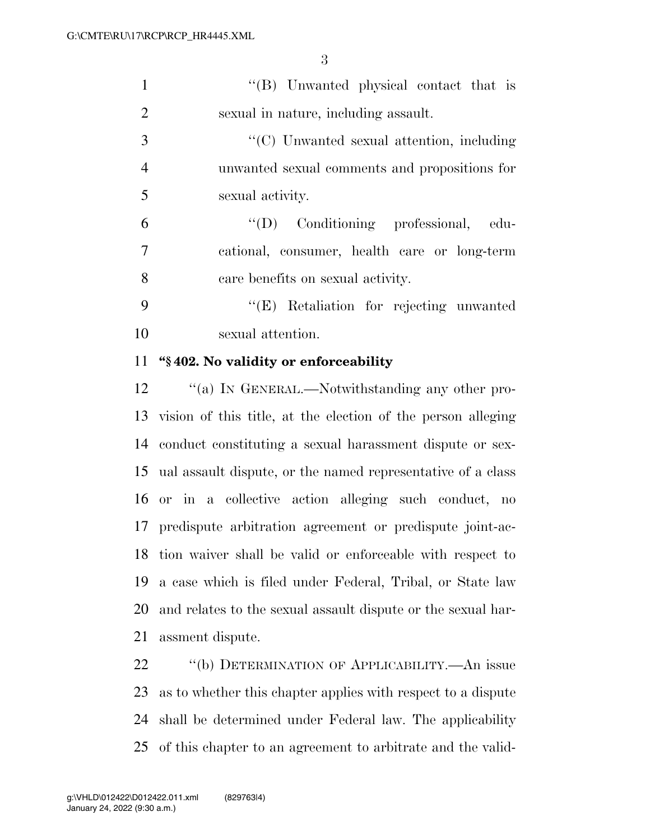| $\lq\lq (B)$ Unwanted physical contact that is |
|------------------------------------------------|
| sexual in nature, including assault.           |

3  $\cdot$  (C) Unwanted sexual attention, including unwanted sexual comments and propositions for sexual activity.

 ''(D) Conditioning professional, edu- cational, consumer, health care or long-term care benefits on sexual activity.

 ''(E) Retaliation for rejecting unwanted sexual attention.

### **''§ 402. No validity or enforceability**

12 "(a) In GENERAL.—Notwithstanding any other pro- vision of this title, at the election of the person alleging conduct constituting a sexual harassment dispute or sex- ual assault dispute, or the named representative of a class or in a collective action alleging such conduct, no predispute arbitration agreement or predispute joint-ac- tion waiver shall be valid or enforceable with respect to a case which is filed under Federal, Tribal, or State law and relates to the sexual assault dispute or the sexual har-assment dispute.

22 "(b) DETERMINATION OF APPLICABILITY.—An issue as to whether this chapter applies with respect to a dispute shall be determined under Federal law. The applicability of this chapter to an agreement to arbitrate and the valid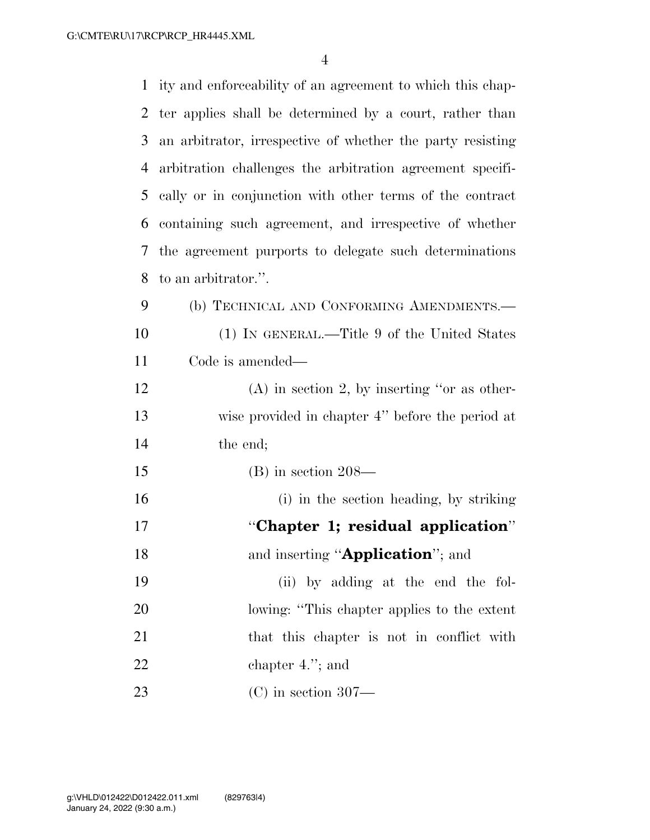G:\CMTE\RU\17\RCP\RCP\_HR4445.XML

| $\mathbf{1}$ | ity and enforceability of an agreement to which this chap- |
|--------------|------------------------------------------------------------|
| 2            | ter applies shall be determined by a court, rather than    |
| 3            | an arbitrator, irrespective of whether the party resisting |
| 4            | arbitration challenges the arbitration agreement specifi-  |
| 5            | cally or in conjunction with other terms of the contract   |
| 6            | containing such agreement, and irrespective of whether     |
| 7            | the agreement purports to delegate such determinations     |
| 8            | to an arbitrator.".                                        |
| 9            | (b) TECHNICAL AND CONFORMING AMENDMENTS.-                  |
| 10           | (1) IN GENERAL.—Title 9 of the United States               |
| 11           | Code is amended—                                           |
| 12           | $(A)$ in section 2, by inserting "or as other-             |
| 13           | wise provided in chapter 4" before the period at           |
| 14           | the end;                                                   |
| 15           | $(B)$ in section 208—                                      |
| 16           | (i) in the section heading, by striking                    |
| 17           | "Chapter 1; residual application"                          |
| 18           | and inserting " <b>Application</b> "; and                  |
| 19           | (ii) by adding at the end the fol-                         |
| 20           | lowing: "This chapter applies to the extent                |
| 21           | that this chapter is not in conflict with                  |
| 22           | chapter $4.'$ ; and                                        |
| 23           | $(C)$ in section 307—                                      |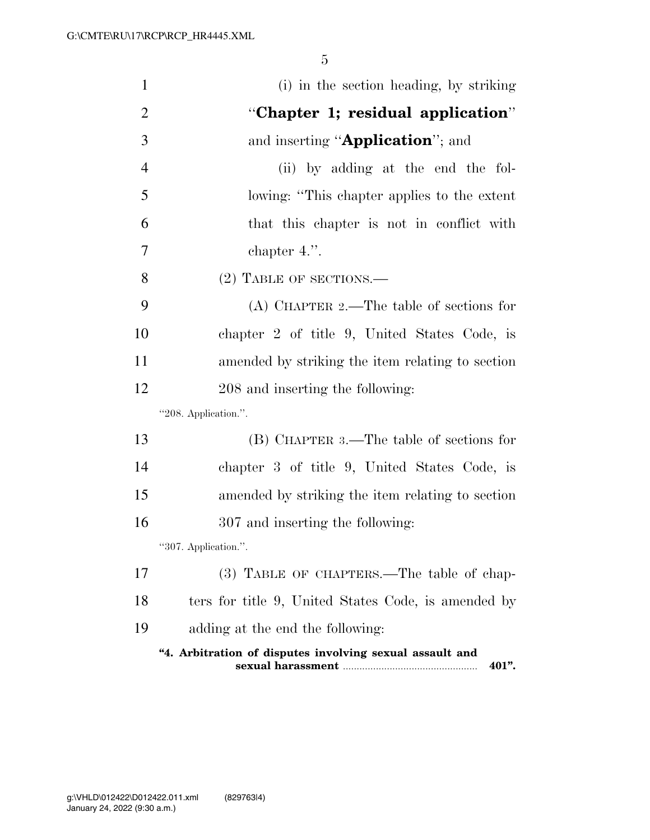| $\mathbf{1}$   | (i) in the section heading, by striking                           |
|----------------|-------------------------------------------------------------------|
| $\overline{2}$ | "Chapter 1; residual application"                                 |
| 3              | and inserting "Application"; and                                  |
| $\overline{4}$ | (ii) by adding at the end the fol-                                |
| 5              | lowing: "This chapter applies to the extent                       |
| 6              | that this chapter is not in conflict with                         |
| 7              | chapter $4.''.$                                                   |
| 8              | $(2)$ TABLE OF SECTIONS.—                                         |
| 9              | $(A)$ CHAPTER 2.—The table of sections for                        |
| 10             | chapter 2 of title 9, United States Code, is                      |
| 11             | amended by striking the item relating to section                  |
| 12             | 208 and inserting the following:                                  |
|                | "208. Application.".                                              |
| 13             | (B) CHAPTER 3.—The table of sections for                          |
| 14             | chapter 3 of title 9, United States Code, is                      |
| 15             | amended by striking the item relating to section                  |
| 16             | 307 and inserting the following:                                  |
|                | "307. Application."                                               |
| 17             | (3) TABLE OF CHAPTERS.—The table of chap-                         |
| 18             | ters for title 9, United States Code, is amended by               |
| 19             | adding at the end the following:                                  |
|                | "4. Arbitration of disputes involving sexual assault and<br>401". |